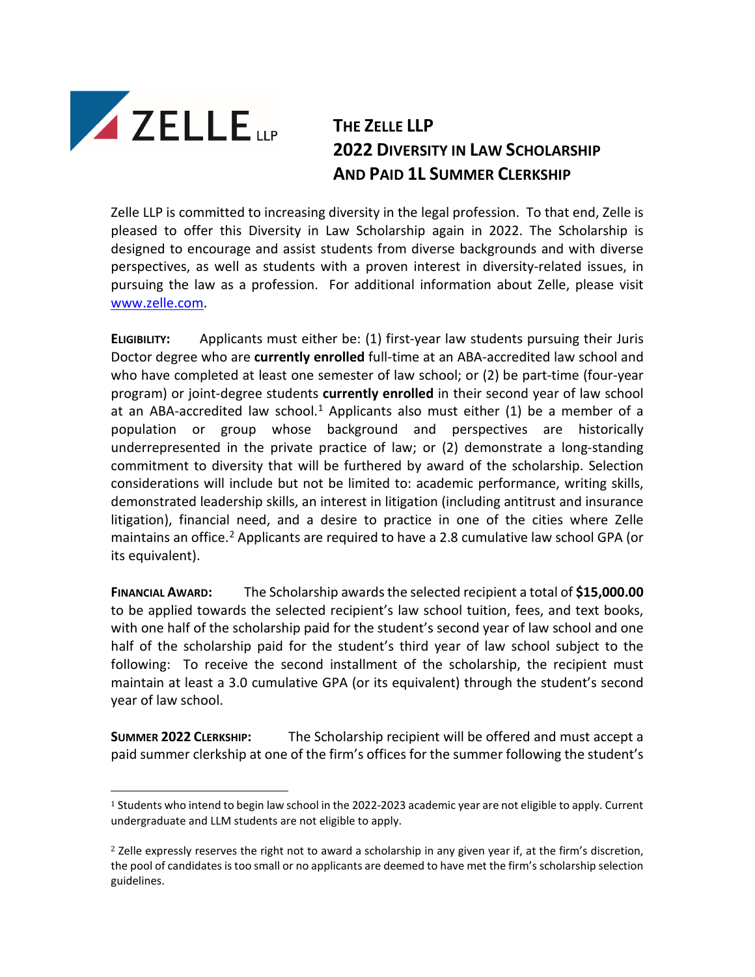

## **THE ZELLE LLP 2022 DIVERSITY IN LAW SCHOLARSHIP AND PAID 1L SUMMER CLERKSHIP**

Zelle LLP is committed to increasing diversity in the legal profession. To that end, Zelle is pleased to offer this Diversity in Law Scholarship again in 2022. The Scholarship is designed to encourage and assist students from diverse backgrounds and with diverse perspectives, as well as students with a proven interest in diversity-related issues, in pursuing the law as a profession. For additional information about Zelle, please visit [www.zelle.com.](http://www.zelle.com/)

**ELIGIBILITY:** Applicants must either be: (1) first-year law students pursuing their Juris Doctor degree who are **currently enrolled** full-time at an ABA-accredited law school and who have completed at least one semester of law school; or (2) be part-time (four-year program) or joint-degree students **currently enrolled** in their second year of law school at an ABA-accredited law school.<sup>[1](#page-0-0)</sup> Applicants also must either (1) be a member of a population or group whose background and perspectives are historically underrepresented in the private practice of law; or (2) demonstrate a long-standing commitment to diversity that will be furthered by award of the scholarship. Selection considerations will include but not be limited to: academic performance, writing skills, demonstrated leadership skills, an interest in litigation (including antitrust and insurance litigation), financial need, and a desire to practice in one of the cities where Zelle maintains an office.<sup>[2](#page-0-1)</sup> Applicants are required to have a 2.8 cumulative law school GPA (or its equivalent).

**FINANCIAL AWARD:** The Scholarship awards the selected recipient a total of **\$15,000.00**  to be applied towards the selected recipient's law school tuition, fees, and text books, with one half of the scholarship paid for the student's second year of law school and one half of the scholarship paid for the student's third year of law school subject to the following: To receive the second installment of the scholarship, the recipient must maintain at least a 3.0 cumulative GPA (or its equivalent) through the student's second year of law school.

**SUMMER 2022 CLERKSHIP:** The Scholarship recipient will be offered and must accept a paid summer clerkship at one of the firm's offices for the summer following the student's

<span id="page-0-0"></span><sup>&</sup>lt;sup>1</sup> Students who intend to begin law school in the 2022-2023 academic year are not eligible to apply. Current undergraduate and LLM students are not eligible to apply.

<span id="page-0-1"></span> $2$  Zelle expressly reserves the right not to award a scholarship in any given year if, at the firm's discretion, the pool of candidates is too small or no applicants are deemed to have met the firm's scholarship selection guidelines.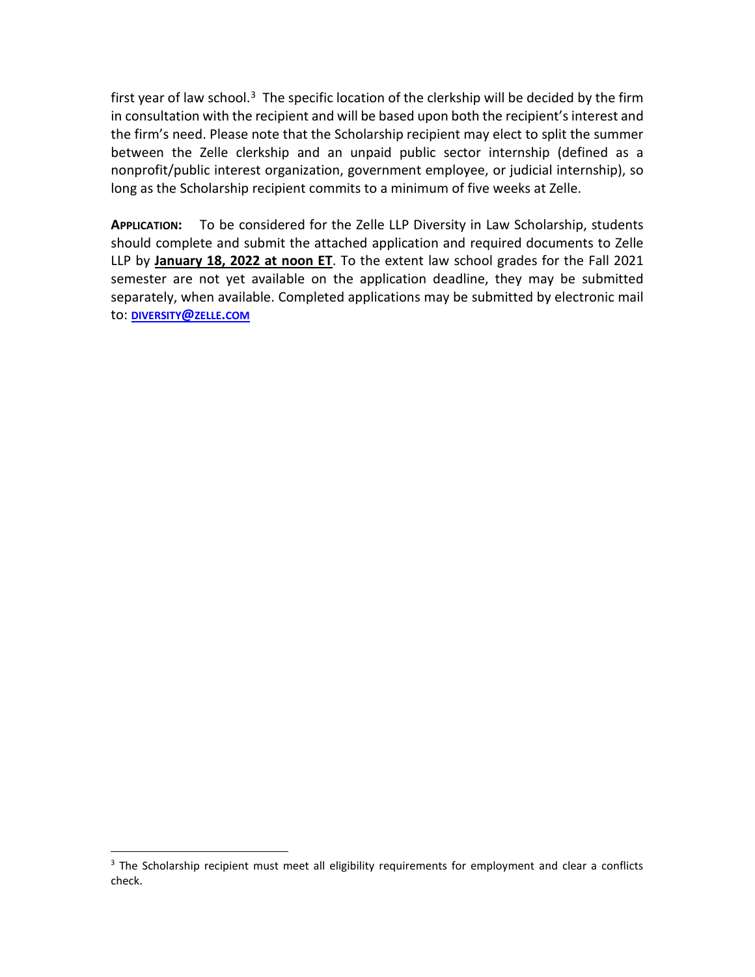first year of law school.<sup>3</sup> The specific location of the clerkship will be decided by the firm in consultation with the recipient and will be based upon both the recipient's interest and the firm's need. Please note that the Scholarship recipient may elect to split the summer between the Zelle clerkship and an unpaid public sector internship (defined as a nonprofit/public interest organization, government employee, or judicial internship), so long as the Scholarship recipient commits to a minimum of five weeks at Zelle.

**APPLICATION:** To be considered for the Zelle LLP Diversity in Law Scholarship, students should complete and submit the attached application and required documents to Zelle LLP by **January 18, 2022 at noon ET**. To the extent law school grades for the Fall 2021 semester are not yet available on the application deadline, they may be submitted separately, when available. Completed applications may be submitted by electronic mail to: **[DIVERSITY@ZELLE.COM](mailto:diversity@zelle.com)**

<span id="page-1-0"></span><sup>&</sup>lt;sup>3</sup> The Scholarship recipient must meet all eligibility requirements for employment and clear a conflicts check.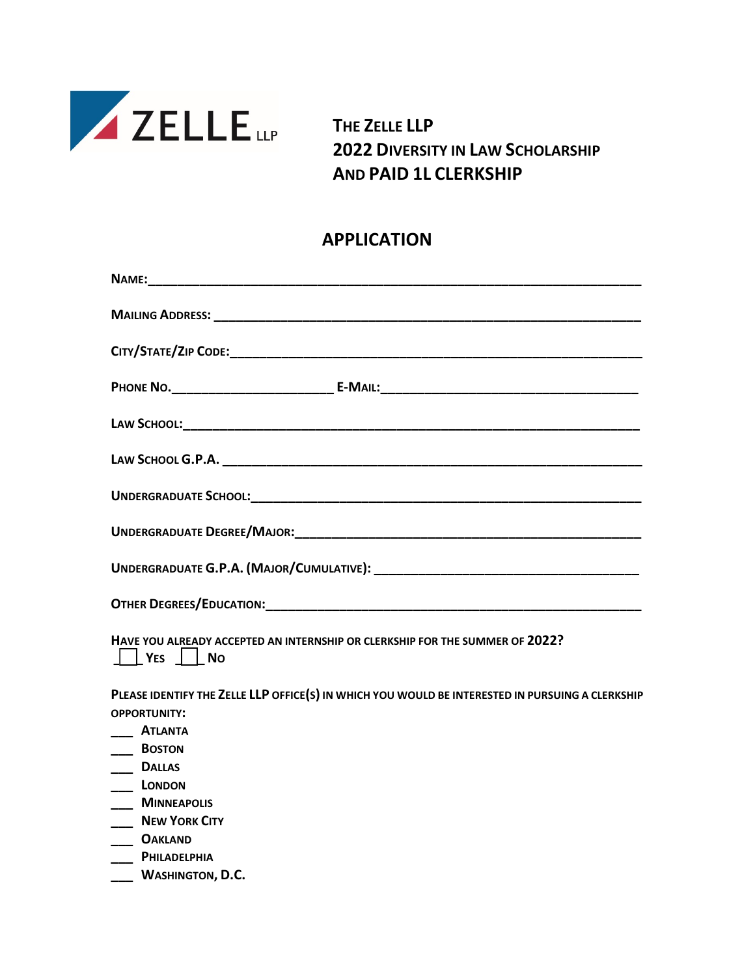

**THE ZELLE LLP 2022 DIVERSITY IN LAW SCHOLARSHIP AND PAID 1L CLERKSHIP**

## **APPLICATION**

| HAVE YOU ALREADY ACCEPTED AN INTERNSHIP OR CLERKSHIP FOR THE SUMMER OF 2022?<br>    YES     NO                          |
|-------------------------------------------------------------------------------------------------------------------------|
| PLEASE IDENTIFY THE ZELLE LLP OFFICE(S) IN WHICH YOU WOULD BE INTERESTED IN PURSUING A CLERKSHIP<br><b>OPPORTUNITY:</b> |
| ____ ATLANTA<br>__ BOSTON                                                                                               |
| <b>DALLAS</b><br>LONDON                                                                                                 |
| ___ MINNEAPOLIS                                                                                                         |
| NEW YORK CITY                                                                                                           |
| ____ OAKLAND                                                                                                            |
| PHILADELPHIA<br>WASHINGTON, D.C.                                                                                        |